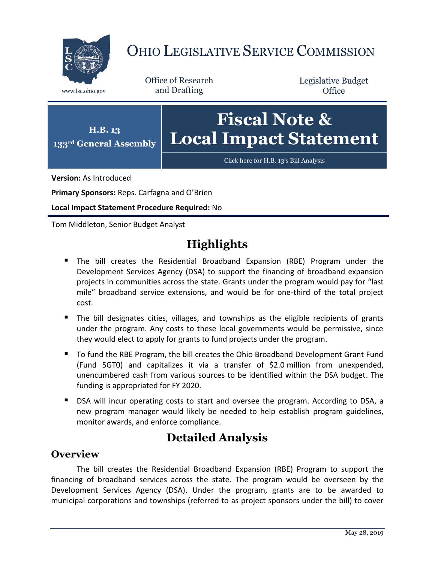

# OHIO LEGISLATIVE SERVICE COMMISSION

Office of Research www.lsc.ohio.gov and Drafting

Legislative Budget **Office** 



**Version:** As Introduced

**Primary Sponsors:** Reps. Carfagna and O'Brien

**Local Impact Statement Procedure Required:** No

Tom Middleton, Senior Budget Analyst

## **Highlights**

- The bill creates the Residential Broadband Expansion (RBE) Program under the Development Services Agency (DSA) to support the financing of broadband expansion projects in communities across the state. Grants under the program would pay for "last mile" broadband service extensions, and would be for one-third of the total project cost.
- The bill designates cities, villages, and townships as the eligible recipients of grants under the program. Any costs to these local governments would be permissive, since they would elect to apply for grants to fund projects under the program.
- To fund the RBE Program, the bill creates the Ohio Broadband Development Grant Fund (Fund 5GT0) and capitalizes it via a transfer of \$2.0 million from unexpended, unencumbered cash from various sources to be identified within the DSA budget. The funding is appropriated for FY 2020.
- **DISA will incur operating costs to start and oversee the program. According to DSA, a** new program manager would likely be needed to help establish program guidelines, monitor awards, and enforce compliance.

### **Detailed Analysis**

#### **Overview**

The bill creates the Residential Broadband Expansion (RBE) Program to support the financing of broadband services across the state. The program would be overseen by the Development Services Agency (DSA). Under the program, grants are to be awarded to municipal corporations and townships (referred to as project sponsors under the bill) to cover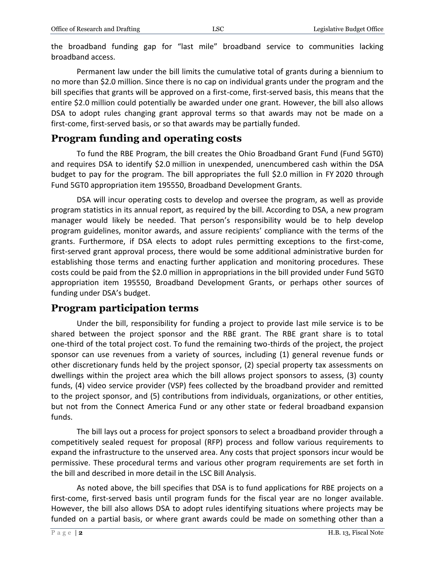the broadband funding gap for "last mile" broadband service to communities lacking broadband access.

Permanent law under the bill limits the cumulative total of grants during a biennium to no more than \$2.0 million. Since there is no cap on individual grants under the program and the bill specifies that grants will be approved on a first-come, first-served basis, this means that the entire \$2.0 million could potentially be awarded under one grant. However, the bill also allows DSA to adopt rules changing grant approval terms so that awards may not be made on a first-come, first-served basis, or so that awards may be partially funded.

#### **Program funding and operating costs**

To fund the RBE Program, the bill creates the Ohio Broadband Grant Fund (Fund 5GT0) and requires DSA to identify \$2.0 million in unexpended, unencumbered cash within the DSA budget to pay for the program. The bill appropriates the full \$2.0 million in FY 2020 through Fund 5GT0 appropriation item 195550, Broadband Development Grants.

DSA will incur operating costs to develop and oversee the program, as well as provide program statistics in its annual report, as required by the bill. According to DSA, a new program manager would likely be needed. That person's responsibility would be to help develop program guidelines, monitor awards, and assure recipients' compliance with the terms of the grants. Furthermore, if DSA elects to adopt rules permitting exceptions to the first-come, first-served grant approval process, there would be some additional administrative burden for establishing those terms and enacting further application and monitoring procedures. These costs could be paid from the \$2.0 million in appropriations in the bill provided under Fund 5GT0 appropriation item 195550, Broadband Development Grants, or perhaps other sources of funding under DSA's budget.

#### **Program participation terms**

Under the bill, responsibility for funding a project to provide last mile service is to be shared between the project sponsor and the RBE grant. The RBE grant share is to total one-third of the total project cost. To fund the remaining two-thirds of the project, the project sponsor can use revenues from a variety of sources, including (1) general revenue funds or other discretionary funds held by the project sponsor, (2) special property tax assessments on dwellings within the project area which the bill allows project sponsors to assess, (3) county funds, (4) video service provider (VSP) fees collected by the broadband provider and remitted to the project sponsor, and (5) contributions from individuals, organizations, or other entities, but not from the Connect America Fund or any other state or federal broadband expansion funds.

The bill lays out a process for project sponsors to select a broadband provider through a competitively sealed request for proposal (RFP) process and follow various requirements to expand the infrastructure to the unserved area. Any costs that project sponsors incur would be permissive. These procedural terms and various other program requirements are set forth in the bill and described in more detail in the LSC Bill Analysis.

As noted above, the bill specifies that DSA is to fund applications for RBE projects on a first-come, first-served basis until program funds for the fiscal year are no longer available. However, the bill also allows DSA to adopt rules identifying situations where projects may be funded on a partial basis, or where grant awards could be made on something other than a